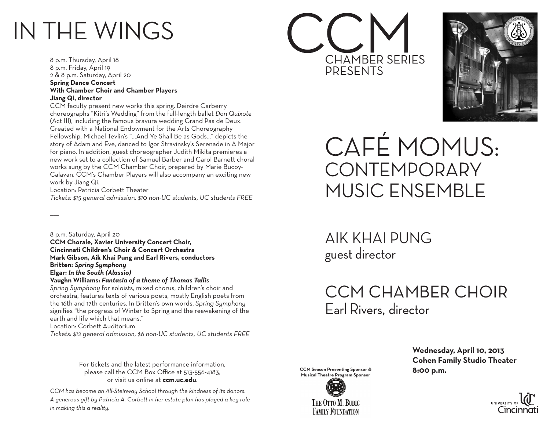# IN THE WINGS

8 p.m. Thursday, April 18 8 p.m. Friday, April 19 2 & 8 p.m. Saturday, April 20 **Spring Dance Concert With Chamber Choir and Chamber Players Jiang Qi, director**

CCM faculty present new works this spring. Deirdre Carberry choreographs "Kitri's Wedding" from the full-length ballet *Don Quixote* (Act III), including the famous bravura wedding Grand Pas de Deux. Created with a National Endowment for the Arts Choreography Fellowship, Michael Tevlin's "...And Ye Shall Be as Gods..." depicts the story of Adam and Eve, danced to Igor Stravinsky's Serenade in A Major for piano. In addition, guest choreographer Judith Mikita premieres a new work set to a collection of Samuel Barber and Carol Barnett choral works sung by the CCM Chamber Choir, prepared by Marie Bucoy-Calavan. CCM's Chamber Players will also accompany an exciting new work by Jiang Qi.

Location: Patricia Corbett Theater

 $\overline{\phantom{a}}$ 

*Tickets: \$15 general admission, \$10 non-UC students, UC students FREE*

8 p.m. Saturday, April 20 **CCM Chorale, Xavier University Concert Choir, Cincinnati Children's Choir & Concert Orchestra Mark Gibson, Aik Khai Pung and Earl Rivers, conductors Britten:** *Spring Symphony* **Elgar:** *In the South (Alassio)*

#### **Vaughn Williams:** *Fantasia of a theme of Thomas Tallis*

*Spring Symphony* for soloists, mixed chorus, children's choir and orchestra, features texts of various poets, mostly English poets from the 16th and 17th centuries. In Britten's own words, *Spring Symphony* signifies "the progress of Winter to Spring and the reawakening of the earth and life which that means." Location: Corbett Auditorium

*Tickets: \$12 general admission, \$6 non-UC students, UC students FREE*

For tickets and the latest performance information, please call the CCM Box Office at 513-556-4183, or visit us online at **ccm.uc.edu**.

*CCM has become an All-Steinway School through the kindness of its donors. A generous gift by Patricia A. Corbett in her estate plan has played a key role in making this a reality.*





CAFÉ MOMUS: **CONTEMPORARY** MUSIC ENSEMBLE

AIK KHAI PUNG guest director

## CCM CHAMBER CHOIR Earl Rivers, director



 **Wednesday, April 10, 2013 Cohen Family Studio Theater**